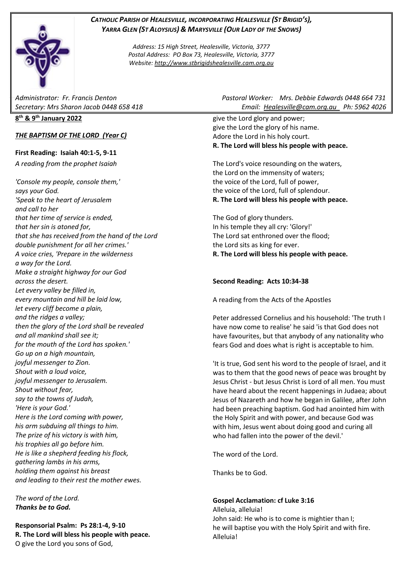## *CATHOLIC PARISH OF HEALESVILLE, INCORPORATING HEALESVILLE (ST BRIGID'S), YARRA GLEN (ST ALOYSIUS) & MARYSVILLE (OUR LADY OF THE SNOWS)*

*Address: 15 High Street, Healesville, Victoria, 3777 Postal Address: PO Box 73, Healesville, Victoria, 3777 Website: [http://www.stbrigidshealesville.cam.org.au](http://www.stbrigidshealesville.cam.org.au/)*

#### **8 th & 9th January 2022**

### *THE BAPTISM OF THE LORD (Year C)*

### **First Reading: Isaiah 40:1-5, 9-11**

*A reading from the prophet Isaiah*

*'Console my people, console them,' says your God. 'Speak to the heart of Jerusalem and call to her that her time of service is ended, that her sin is atoned for, that she has received from the hand of the Lord double punishment for all her crimes.' A voice cries, 'Prepare in the wilderness a way for the Lord. Make a straight highway for our God across the desert. Let every valley be filled in, every mountain and hill be laid low, let every cliff become a plain, and the ridges a valley; then the glory of the Lord shall be revealed and all mankind shall see it; for the mouth of the Lord has spoken.' Go up on a high mountain, joyful messenger to Zion. Shout with a loud voice, joyful messenger to Jerusalem. Shout without fear, say to the towns of Judah, 'Here is your God.' Here is the Lord coming with power, his arm subduing all things to him. The prize of his victory is with him, his trophies all go before him. He is like a shepherd feeding his flock, gathering lambs in his arms, holding them against his breast and leading to their rest the mother ewes.*

*The word of the Lord. Thanks be to God.*

**Responsorial Psalm: Ps 28:1-4, 9-10 R. The Lord will bless his people with peace.** O give the Lord you sons of God,

*Administrator: Fr. Francis Denton Pastoral Worker: Mrs. Debbie Edwards 0448 664 731 Secretary: Mrs Sharon Jacob 0448 658 418 Email: [Healesville@cam.org.au](mailto:Healesville@cam.org.au) Ph: 5962 4026* 

> give the Lord glory and power; give the Lord the glory of his name. Adore the Lord in his holy court. **R. The Lord will bless his people with peace.**

> The Lord's voice resounding on the waters, the Lord on the immensity of waters; the voice of the Lord, full of power, the voice of the Lord, full of splendour. **R. The Lord will bless his people with peace.**

> The God of glory thunders. In his temple they all cry: 'Glory!' The Lord sat enthroned over the flood; the Lord sits as king for ever. **R. The Lord will bless his people with peace.**

### **Second Reading: Acts 10:34-38**

A reading from the Acts of the Apostles

Peter addressed Cornelius and his household: 'The truth I have now come to realise' he said 'is that God does not have favourites, but that anybody of any nationality who fears God and does what is right is acceptable to him.

'It is true, God sent his word to the people of Israel, and it was to them that the good news of peace was brought by Jesus Christ - but Jesus Christ is Lord of all men. You must have heard about the recent happenings in Judaea; about Jesus of Nazareth and how he began in Galilee, after John had been preaching baptism. God had anointed him with the Holy Spirit and with power, and because God was with him, Jesus went about doing good and curing all who had fallen into the power of the devil.'

The word of the Lord.

Thanks be to God.

#### **Gospel Acclamation: cf Luke 3:16**

Alleluia, alleluia! John said: He who is to come is mightier than I; he will baptise you with the Holy Spirit and with fire. Alleluia!